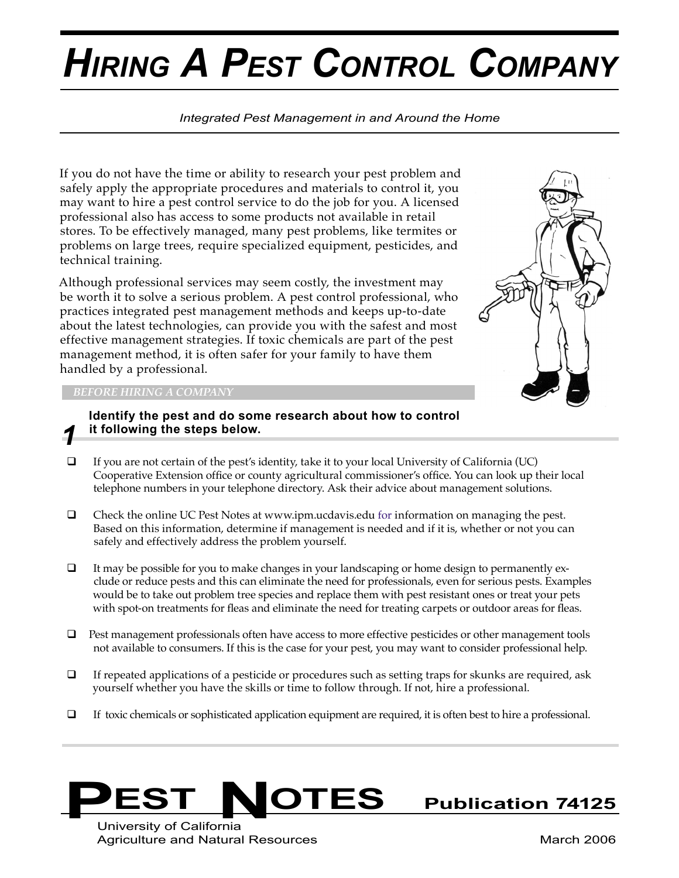# *HIRING A PEST CONTROL COMPANY*

## *Integrated Pest Management in and Around the Home*

If you do not have the time or ability to research your pest problem and safely apply the appropriate procedures and materials to control it, you may want to hire a pest control service to do the job for you. A licensed professional also has access to some products not available in retail stores. To be effectively managed, many pest problems, like termites or problems on large trees, require specialized equipment, pesticides, and technical training.

Although professional services may seem costly, the investment may be worth it to solve a serious problem. A pest control professional, who practices integrated pest management methods and keeps up-to-date about the latest technologies, can provide you with the safest and most effective management strategies. If toxic chemicals are part of the pest management method, it is often safer for your family to have them handled by a professional.



## *BEFORE HIRING A COMPANY*

*1*

# **Identify the pest and do some research about how to control it following the steps below.**

- $\Box$  If you are not certain of the pest's identity, take it to your local University of California (UC) Cooperative Extension office or county agricultural commissioner's office. You can look up their local telephone numbers in your telephone directory. Ask their advice about management solutions.
- $\Box$  Check the online UC Pest Notes at www.ipm.ucdavis.edu for information on managing the pest. Based on this information, determine if management is needed and if it is, whether or not you can safely and effectively address the problem yourself.
- $\Box$  It may be possible for you to make changes in your landscaping or home design to permanently exclude or reduce pests and this can eliminate the need for professionals, even for serious pests. Examples would be to take out problem tree species and replace them with pest resistant ones or treat your pets with spot-on treatments for fleas and eliminate the need for treating carpets or outdoor areas for fleas.
- $\Box$  Pest management professionals often have access to more effective pesticides or other management tools not available to consumers. If this is the case for your pest, you may want to consider professional help.
- $\Box$  If repeated applications of a pesticide or procedures such as setting traps for skunks are required, ask yourself whether you have the skills or time to follow through. If not, hire a professional.
- $\Box$  If toxic chemicals or sophisticated application equipment are required, it is often best to hire a professional.



University of California Agriculture and Natural Resources March 2006 Natural Resources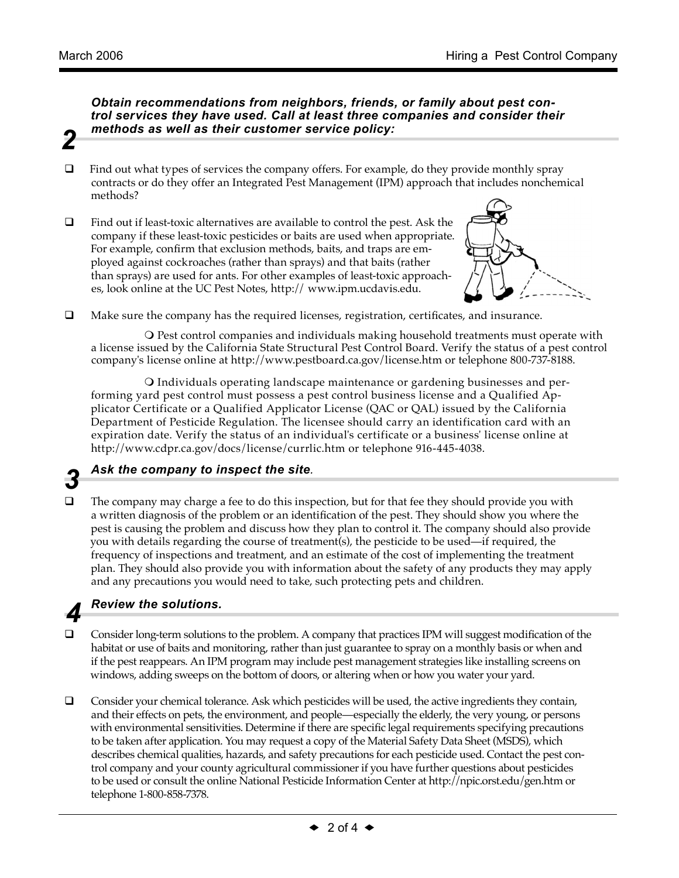*2*

*3*

*4*

## *Obtain recommendations from neighbors, friends, or family about pest control services they have used. Call at least three companies and consider their methods as well as their customer service policy:*

- $\Box$  Find out what types of services the company offers. For example, do they provide monthly spray contracts or do they offer an Integrated Pest Management (IPM) approach that includes nonchemical methods?
- $\Box$  Find out if least-toxic alternatives are available to control the pest. Ask the company if these least-toxic pesticides or baits are used when appropriate. For example, confirm that exclusion methods, baits, and traps are employed against cockroaches (rather than sprays) and that baits (rather than sprays) are used for ants. For other examples of least-toxic approaches, look online at the UC Pest Notes, http:// www.ipm.ucdavis.edu.



 $\Box$  Make sure the company has the required licenses, registration, certificates, and insurance.

O Pest control companies and individuals making household treatments must operate with a license issued by the California State Structural Pest Control Board. Verify the status of a pest control company's license online at http://www.pestboard.ca.gov/license.htm or telephone 800-737-8188.

O Individuals operating landscape maintenance or gardening businesses and performing yard pest control must possess a pest control business license and a Qualified Applicator Certificate or a Qualified Applicator License (QAC or QAL) issued by the California Department of Pesticide Regulation. The licensee should carry an identification card with an expiration date. Verify the status of an individual's certificate or a business' license online at http://www.cdpr.ca.gov/docs/license/currlic.htm or telephone 916-445-4038.

- *Ask the company to inspect the site.*
- $\Box$  The company may charge a fee to do this inspection, but for that fee they should provide you with a written diagnosis of the problem or an identification of the pest. They should show you where the pest is causing the problem and discuss how they plan to control it. The company should also provide you with details regarding the course of treatment(s), the pesticide to be used—if required, the frequency of inspections and treatment, and an estimate of the cost of implementing the treatment plan. They should also provide you with information about the safety of any products they may apply and any precautions you would need to take, such protecting pets and children.

# *Review the solutions.*

- $\Box$  Consider long-term solutions to the problem. A company that practices IPM will suggest modification of the habitat or use of baits and monitoring, rather than just guarantee to spray on a monthly basis or when and if the pest reappears. An IPM program may include pest management strategies like installing screens on windows, adding sweeps on the bottom of doors, or altering when or how you water your yard.
- $\Box$  Consider your chemical tolerance. Ask which pesticides will be used, the active ingredients they contain, and their effects on pets, the environment, and people—especially the elderly, the very young, or persons with environmental sensitivities. Determine if there are specific legal requirements specifying precautions to be taken after application. You may request a copy of the Material Safety Data Sheet (MSDS), which describes chemical qualities, hazards, and safety precautions for each pesticide used. Contact the pest control company and your county agricultural commissioner if you have further questions about pesticides to be used or consult the online National Pesticide Information Center at http://npic.orst.edu/gen.htm or telephone 1-800-858-7378.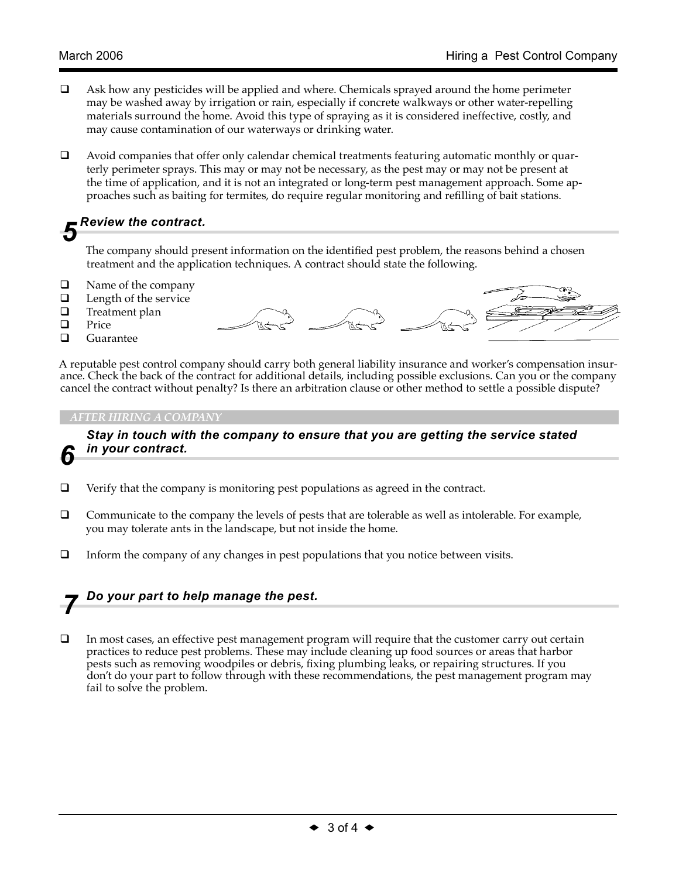- $\Box$  Ask how any pesticides will be applied and where. Chemicals sprayed around the home perimeter may be washed away by irrigation or rain, especially if concrete walkways or other water-repelling materials surround the home. Avoid this type of spraying as it is considered ineffective, costly, and may cause contamination of our waterways or drinking water.
- $\Box$  Avoid companies that offer only calendar chemical treatments featuring automatic monthly or quarterly perimeter sprays. This may or may not be necessary, as the pest may or may not be present at the time of application, and it is not an integrated or long-term pest management approach. Some approaches such as baiting for termites, do require regular monitoring and refilling of bait stations.

# *Review the contract. 5*

The company should present information on the identified pest problem, the reasons behind a chosen treatment and the application techniques. A contract should state the following.

- $\Box$  Name of the company<br> $\Box$  Length of the service
- $\Box$  Length of the service<br> $\Box$  Treatment plan
- $\Box$  Treatment plan
- $\Box$  Price
- Guarantee

A reputable pest control company should carry both general liability insurance and worker's compensation insurance. Check the back of the contract for additional details, including possible exclusions. Can you or the company cancel the contract without penalty? Is there an arbitration clause or other method to settle a possible dispute?

## *AFTER HIRING A COMPANY*



 *Stay in touch with the company to ensure that you are getting the service stated in your contract.*

- $\Box$  Verify that the company is monitoring pest populations as agreed in the contract.
- $\Box$  Communicate to the company the levels of pests that are tolerable as well as intolerable. For example, you may tolerate ants in the landscape, but not inside the home.
- $\Box$  Inform the company of any changes in pest populations that you notice between visits.

# *Do your part to help manage the pest. 7*

 $\Box$  In most cases, an effective pest management program will require that the customer carry out certain practices to reduce pest problems. These may include cleaning up food sources or areas that harbor pests such as removing woodpiles or debris, fixing plumbing leaks, or repairing structures. If you don't do your part to follow through with these recommendations, the pest management program may fail to solve the problem.